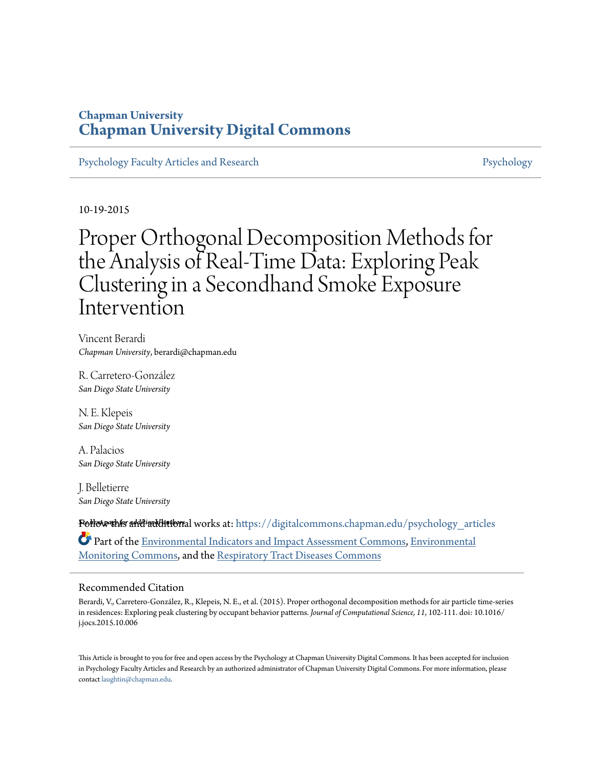# **Chapman University [Chapman University Digital Commons](https://digitalcommons.chapman.edu?utm_source=digitalcommons.chapman.edu%2Fpsychology_articles%2F111&utm_medium=PDF&utm_campaign=PDFCoverPages)**

[Psychology Faculty Articles and Research](https://digitalcommons.chapman.edu/psychology_articles?utm_source=digitalcommons.chapman.edu%2Fpsychology_articles%2F111&utm_medium=PDF&utm_campaign=PDFCoverPages) **[Psychology](https://digitalcommons.chapman.edu/psychology?utm_source=digitalcommons.chapman.edu%2Fpsychology_articles%2F111&utm_medium=PDF&utm_campaign=PDFCoverPages)** Psychology

10-19-2015

# Proper Orthogonal Decomposition Methods for the Analysis of Real-Time Data: Exploring Peak Clustering in a Secondhand Smoke Exposure Intervention

Vincent Berardi *Chapman University*, berardi@chapman.edu

R. Carretero-González *San Diego State University*

N. E. Klepeis *San Diego State University*

A. Palacios *San Diego State University*

J. Belletierre *San Diego State University*

**Follow this a<del>ndi</del>nal littlors** hworks at: [https://digitalcommons.chapman.edu/psychology\\_articles](https://digitalcommons.chapman.edu/psychology_articles?utm_source=digitalcommons.chapman.edu%2Fpsychology_articles%2F111&utm_medium=PDF&utm_campaign=PDFCoverPages) Part of the [Environmental Indicators and Impact Assessment Commons](http://network.bepress.com/hgg/discipline/1015?utm_source=digitalcommons.chapman.edu%2Fpsychology_articles%2F111&utm_medium=PDF&utm_campaign=PDFCoverPages), [Environmental](http://network.bepress.com/hgg/discipline/931?utm_source=digitalcommons.chapman.edu%2Fpsychology_articles%2F111&utm_medium=PDF&utm_campaign=PDFCoverPages) [Monitoring Commons](http://network.bepress.com/hgg/discipline/931?utm_source=digitalcommons.chapman.edu%2Fpsychology_articles%2F111&utm_medium=PDF&utm_campaign=PDFCoverPages), and the [Respiratory Tract Diseases Commons](http://network.bepress.com/hgg/discipline/990?utm_source=digitalcommons.chapman.edu%2Fpsychology_articles%2F111&utm_medium=PDF&utm_campaign=PDFCoverPages)

# Recommended Citation

Berardi, V., Carretero-González, R., Klepeis, N. E., et al. (2015). Proper orthogonal decomposition methods for air particle time-series in residences: Exploring peak clustering by occupant behavior patterns. *Journal of Computational Science, 11*, 102-111. doi: 10.1016/ j.jocs.2015.10.006

This Article is brought to you for free and open access by the Psychology at Chapman University Digital Commons. It has been accepted for inclusion in Psychology Faculty Articles and Research by an authorized administrator of Chapman University Digital Commons. For more information, please contact [laughtin@chapman.edu](mailto:laughtin@chapman.edu).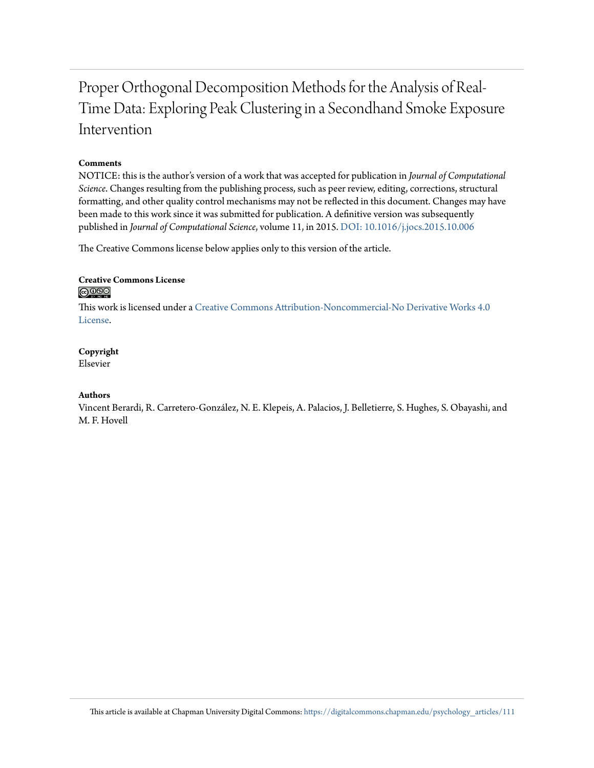# Proper Orthogonal Decomposition Methods for the Analysis of Real-Time Data: Exploring Peak Clustering in a Secondhand Smoke Exposure Intervention

# **Comments**

NOTICE: this is the author's version of a work that was accepted for publication in *Journal of Computational Science*. Changes resulting from the publishing process, such as peer review, editing, corrections, structural formatting, and other quality control mechanisms may not be reflected in this document. Changes may have been made to this work since it was submitted for publication. A definitive version was subsequently published in *Journal of Computational Science*, volume 11, in 2015. [DOI:](https://doi.org/10.1016/j.jocs.2015.10.006) [10.1016/j.jocs.2015.10.006](https://doi.org/10.1016/j.jocs.2015.10.006)

The Creative Commons license below applies only to this version of the article.

# **Creative Commons License** <u>@O®©</u>

This work is licensed under a [Creative Commons Attribution-Noncommercial-No Derivative Works 4.0](https://creativecommons.org/licenses/by-nc-nd/4.0/) [License.](https://creativecommons.org/licenses/by-nc-nd/4.0/)

# **Copyright**

Elsevier

# **Authors**

Vincent Berardi, R. Carretero-González, N. E. Klepeis, A. Palacios, J. Belletierre, S. Hughes, S. Obayashi, and M. F. Hovell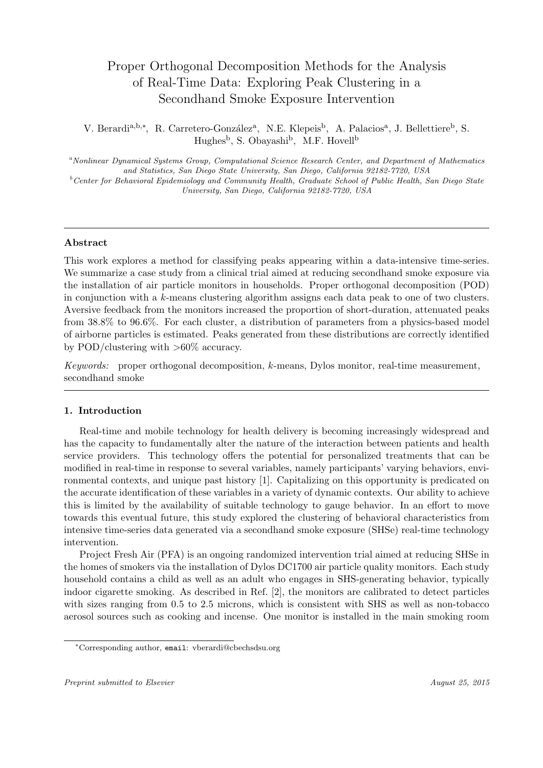# Proper Orthogonal Decomposition Methods for the Analysis of Real-Time Data: Exploring Peak Clustering in a Secondhand Smoke Exposure Intervention

V. Berardi<sup>a,b,∗</sup>, R. Carretero-González<sup>a</sup>, N.E. Klepeis<sup>b</sup>, A. Palacios<sup>a</sup>, J. Bellettiere<sup>b</sup>, S. Hughes<sup>b</sup>, S. Obayashi<sup>b</sup>, M.F. Hovell<sup>b</sup>

*<sup>a</sup>Nonlinear Dynamical Systems Group, Computational Science Research Center, and Department of Mathematics and Statistics, San Diego State University, San Diego, California 92182-7720, USA <sup>b</sup>Center for Behavioral Epidemiology and Community Health, Graduate School of Public Health, San Diego State University, San Diego, California 92182-7720, USA*

### **Abstract**

This work explores a method for classifying peaks appearing within a data-intensive time-series. We summarize a case study from a clinical trial aimed at reducing secondhand smoke exposure via the installation of air particle monitors in households. Proper orthogonal decomposition (POD) in conjunction with a *k*-means clustering algorithm assigns each data peak to one of two clusters. Aversive feedback from the monitors increased the proportion of short-duration, attenuated peaks from 38.8% to 96.6%. For each cluster, a distribution of parameters from a physics-based model of airborne particles is estimated. Peaks generated from these distributions are correctly identified by POD/clustering with *>*60% accuracy.

*Keywords:* proper orthogonal decomposition, *k*-means, Dylos monitor, real-time measurement, secondhand smoke

#### **1. Introduction**

Real-time and mobile technology for health delivery is becoming increasingly widespread and has the capacity to fundamentally alter the nature of the interaction between patients and health service providers. This technology offers the potential for personalized treatments that can be modified in real-time in response to several variables, namely participants' varying behaviors, environmental contexts, and unique past history [1]. Capitalizing on this opportunity is predicated on the accurate identification of these variables in a variety of dynamic contexts. Our ability to achieve this is limited by the availability of suitable technology to gauge behavior. In an effort to move towards this eventual future, this study explored the clustering of behavioral characteristics from intensive time-series data generated via a secondhand smoke exposure (SHSe) real-time technology intervention.

Project Fresh Air (PFA) is an ongoing randomized intervention trial aimed at reducing SHSe in the homes of smokers via the installation of Dylos DC1700 air particle quality monitors. Each study household contains a child as well as an adult who engages in SHS-generating behavior, typically indoor cigarette smoking. As described in Ref. [2], the monitors are calibrated to detect particles with sizes ranging from 0.5 to 2.5 microns, which is consistent with SHS as well as non-tobacco aerosol sources such as cooking and incense. One monitor is installed in the main smoking room

*<sup>∗</sup>*Corresponding author, email: vberardi@cbechsdsu.org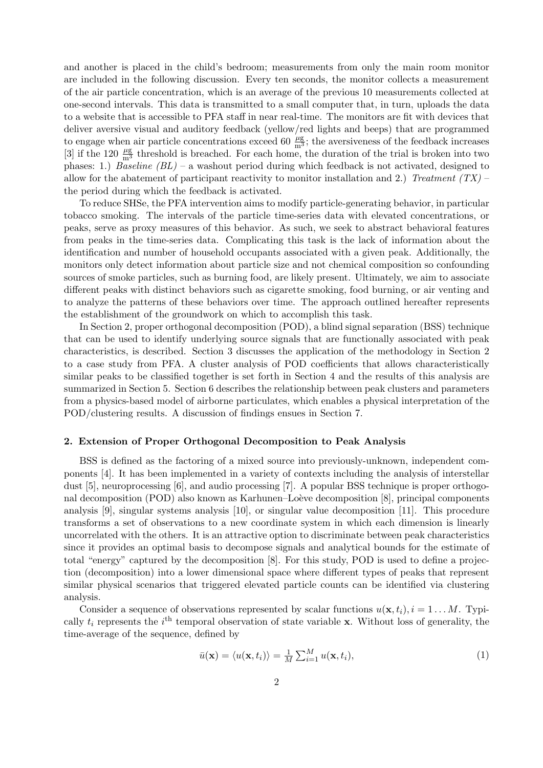and another is placed in the child's bedroom; measurements from only the main room monitor are included in the following discussion. Every ten seconds, the monitor collects a measurement of the air particle concentration, which is an average of the previous 10 measurements collected at one-second intervals. This data is transmitted to a small computer that, in turn, uploads the data to a website that is accessible to PFA staff in near real-time. The monitors are fit with devices that deliver aversive visual and auditory feedback (yellow/red lights and beeps) that are programmed to engage when air particle concentrations exceed 60  $\frac{\mu_{\rm g}}{m^3}$ ; the aversiveness of the feedback increases [3] if the 120  $\frac{\mu g}{m^3}$  threshold is breached. For each home, the duration of the trial is broken into two phases: 1.) *Baseline (BL)* – a washout period during which feedback is not activated, designed to allow for the abatement of participant reactivity to monitor installation and 2.) *Treatment (TX)* – the period during which the feedback is activated.

To reduce SHSe, the PFA intervention aims to modify particle-generating behavior, in particular tobacco smoking. The intervals of the particle time-series data with elevated concentrations, or peaks, serve as proxy measures of this behavior. As such, we seek to abstract behavioral features from peaks in the time-series data. Complicating this task is the lack of information about the identification and number of household occupants associated with a given peak. Additionally, the monitors only detect information about particle size and not chemical composition so confounding sources of smoke particles, such as burning food, are likely present. Ultimately, we aim to associate different peaks with distinct behaviors such as cigarette smoking, food burning, or air venting and to analyze the patterns of these behaviors over time. The approach outlined hereafter represents the establishment of the groundwork on which to accomplish this task.

In Section 2, proper orthogonal decomposition (POD), a blind signal separation (BSS) technique that can be used to identify underlying source signals that are functionally associated with peak characteristics, is described. Section 3 discusses the application of the methodology in Section 2 to a case study from PFA. A cluster analysis of POD coefficients that allows characteristically similar peaks to be classified together is set forth in Section 4 and the results of this analysis are summarized in Section 5. Section 6 describes the relationship between peak clusters and parameters from a physics-based model of airborne particulates, which enables a physical interpretation of the POD/clustering results. A discussion of findings ensues in Section 7.

#### **2. Extension of Proper Orthogonal Decomposition to Peak Analysis**

BSS is defined as the factoring of a mixed source into previously-unknown, independent components [4]. It has been implemented in a variety of contexts including the analysis of interstellar dust [5], neuroprocessing [6], and audio processing [7]. A popular BSS technique is proper orthogonal decomposition (POD) also known as Karhunen–Loève decomposition [8], principal components analysis [9], singular systems analysis [10], or singular value decomposition [11]. This procedure transforms a set of observations to a new coordinate system in which each dimension is linearly uncorrelated with the others. It is an attractive option to discriminate between peak characteristics since it provides an optimal basis to decompose signals and analytical bounds for the estimate of total "energy" captured by the decomposition [8]. For this study, POD is used to define a projection (decomposition) into a lower dimensional space where different types of peaks that represent similar physical scenarios that triggered elevated particle counts can be identified via clustering analysis.

Consider a sequence of observations represented by scalar functions  $u(\mathbf{x}, t_i)$ ,  $i = 1...M$ . Typically  $t_i$  represents the  $i^{\text{th}}$  temporal observation of state variable **x**. Without loss of generality, the time-average of the sequence, defined by

$$
\bar{u}(\mathbf{x}) = \langle u(\mathbf{x}, t_i) \rangle = \frac{1}{M} \sum_{i=1}^{M} u(\mathbf{x}, t_i), \tag{1}
$$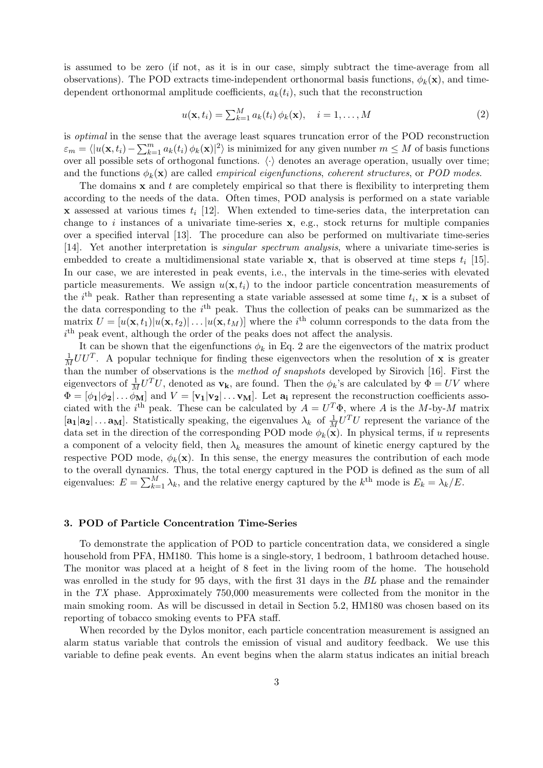is assumed to be zero (if not, as it is in our case, simply subtract the time-average from all observations). The POD extracts time-independent orthonormal basis functions,  $\phi_k(\mathbf{x})$ , and timedependent orthonormal amplitude coefficients,  $a_k(t_i)$ , such that the reconstruction

$$
u(\mathbf{x}, t_i) = \sum_{k=1}^{M} a_k(t_i) \phi_k(\mathbf{x}), \quad i = 1, \dots, M
$$
 (2)

is *optimal* in the sense that the average least squares truncation error of the POD reconstruction  $\varepsilon_m = \langle |u(\mathbf{x}, t_i) - \sum_{k=1}^m a_k(t_i) \phi_k(\mathbf{x})|^2 \rangle$  is minimized for any given number  $m \leq M$  of basis functions over all possible sets of orthogonal functions. *⟨·⟩* denotes an average operation, usually over time; and the functions  $\phi_k(\mathbf{x})$  are called *empirical eigenfunctions*, *coherent structures*, or *POD modes*.

The domains **x** and *t* are completely empirical so that there is flexibility to interpreting them according to the needs of the data. Often times, POD analysis is performed on a state variable **x** assessed at various times *t<sup>i</sup>* [12]. When extended to time-series data, the interpretation can change to *i* instances of a univariate time-series **x**, e.g., stock returns for multiple companies over a specified interval [13]. The procedure can also be performed on multivariate time-series [14]. Yet another interpretation is *singular spectrum analysis*, where a univariate time-series is embedded to create a multidimensional state variable **x**, that is observed at time steps *t<sup>i</sup>* [15]. In our case, we are interested in peak events, i.e., the intervals in the time-series with elevated particle measurements. We assign  $u(\mathbf{x}, t_i)$  to the indoor particle concentration measurements of the  $i^{\text{th}}$  peak. Rather than representing a state variable assessed at some time  $t_i$ , **x** is a subset of the data corresponding to the  $i<sup>th</sup>$  peak. Thus the collection of peaks can be summarized as the matrix  $U = [u(\mathbf{x}, t_1)|u(\mathbf{x}, t_2)| \dots |u(\mathbf{x}, t_M)]$  where the *i*<sup>th</sup> column corresponds to the data from the  $i<sup>th</sup>$  peak event, although the order of the peaks does not affect the analysis.

It can be shown that the eigenfunctions  $\phi_k$  in Eq. 2 are the eigenvectors of the matrix product  $\frac{1}{M}UU^T$ . A popular technique for finding these eigenvectors when the resolution of **x** is greater than the number of observations is the *method of snapshots* developed by Sirovich [16]. First the eigenvectors of  $\frac{1}{M}U^TU$ , denoted as  $\mathbf{v}_k$ , are found. Then the  $\phi_k$ 's are calculated by  $\Phi = UV$  where  $\Phi = [\phi_1 | \phi_2 | \dots \phi_M]$  and  $V = [\mathbf{v}_1 | \mathbf{v}_2 | \dots \mathbf{v}_M]$ . Let  $\mathbf{a}_i$  represent the reconstruction coefficients associated with the *i*<sup>th</sup> peak. These can be calculated by  $A = U^T \Phi$ , where *A* is the *M*-by-*M* matrix  $[\mathbf{a}_1 | \mathbf{a}_2 | \dots \mathbf{a}_M]$ . Statistically speaking, the eigenvalues  $\lambda_k$  of  $\frac{1}{M} U^T U$  represent the variance of the data set in the direction of the corresponding POD mode  $\phi_k(\mathbf{x})$ . In physical terms, if *u* represents a component of a velocity field, then  $\lambda_k$  measures the amount of kinetic energy captured by the respective POD mode,  $\phi_k(\mathbf{x})$ . In this sense, the energy measures the contribution of each mode to the overall dynamics. Thus, the total energy captured in the POD is defined as the sum of all eigenvalues:  $E = \sum_{k=1}^{M} \lambda_k$ , and the relative energy captured by the  $k^{\text{th}}$  mode is  $E_k = \lambda_k / E$ .

# **3. POD of Particle Concentration Time-Series**

To demonstrate the application of POD to particle concentration data, we considered a single household from PFA, HM180. This home is a single-story, 1 bedroom, 1 bathroom detached house. The monitor was placed at a height of 8 feet in the living room of the home. The household was enrolled in the study for 95 days, with the first 31 days in the *BL* phase and the remainder in the *TX* phase. Approximately 750,000 measurements were collected from the monitor in the main smoking room. As will be discussed in detail in Section 5.2, HM180 was chosen based on its reporting of tobacco smoking events to PFA staff.

When recorded by the Dylos monitor, each particle concentration measurement is assigned an alarm status variable that controls the emission of visual and auditory feedback. We use this variable to define peak events. An event begins when the alarm status indicates an initial breach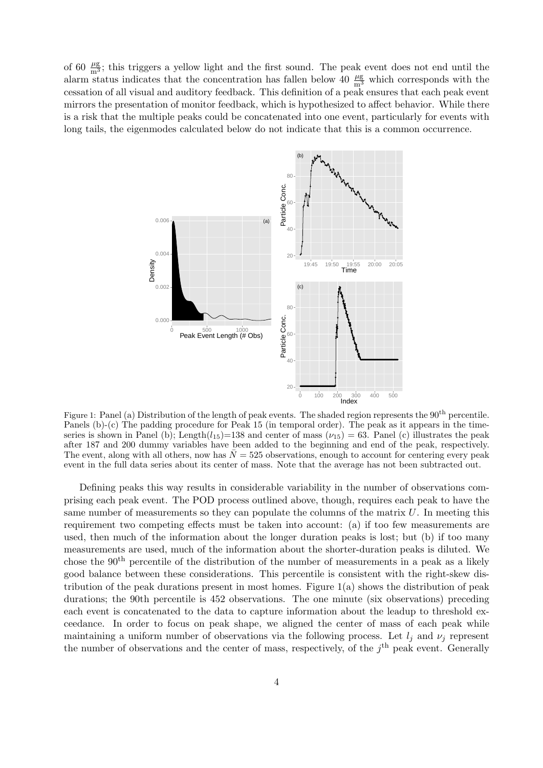of 60  $\frac{\mu g}{m^3}$ ; this triggers a yellow light and the first sound. The peak event does not end until the alarm status indicates that the concentration has fallen below 40  $\frac{\mu g}{m^3}$  which corresponds with the cessation of all visual and auditory feedback. This definition of a peak ensures that each peak event mirrors the presentation of monitor feedback, which is hypothesized to affect behavior. While there is a risk that the multiple peaks could be concatenated into one event, particularly for events with long tails, the eigenmodes calculated below do not indicate that this is a common occurrence.



Figure 1: Panel (a) Distribution of the length of peak events. The shaded region represents the  $90<sup>th</sup>$  percentile. Panels (b)-(c) The padding procedure for Peak 15 (in temporal order). The peak as it appears in the timeseries is shown in Panel (b); Length $(l_{15})$ =138 and center of mass  $(\nu_{15}) = 63$ . Panel (c) illustrates the peak after 187 and 200 dummy variables have been added to the beginning and end of the peak, respectively. The event, along with all others, now has  $\bar{N} = 525$  observations, enough to account for centering every peak event in the full data series about its center of mass. Note that the average has not been subtracted out.

Defining peaks this way results in considerable variability in the number of observations comprising each peak event. The POD process outlined above, though, requires each peak to have the same number of measurements so they can populate the columns of the matrix *U*. In meeting this requirement two competing effects must be taken into account: (a) if too few measurements are used, then much of the information about the longer duration peaks is lost; but (b) if too many measurements are used, much of the information about the shorter-duration peaks is diluted. We chose the  $90<sup>th</sup>$  percentile of the distribution of the number of measurements in a peak as a likely good balance between these considerations. This percentile is consistent with the right-skew distribution of the peak durations present in most homes. Figure 1(a) shows the distribution of peak durations; the 90th percentile is 452 observations. The one minute (six observations) preceding each event is concatenated to the data to capture information about the leadup to threshold exceedance. In order to focus on peak shape, we aligned the center of mass of each peak while maintaining a uniform number of observations via the following process. Let  $l_i$  and  $\nu_j$  represent the number of observations and the center of mass, respectively, of the  $j<sup>th</sup>$  peak event. Generally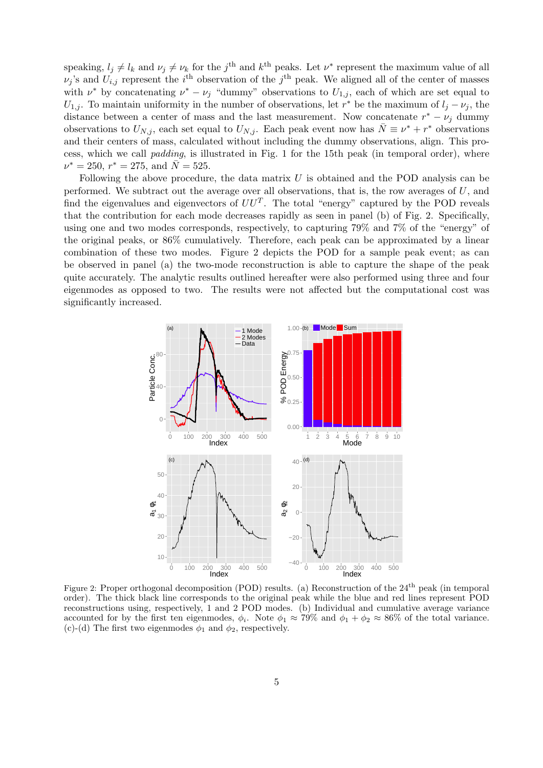speaking,  $l_j \neq l_k$  and  $\nu_j \neq \nu_k$  for the *j*<sup>th</sup> and *k*<sup>th</sup> peaks. Let  $\nu^*$  represent the maximum value of all  $\nu_j$ 's and  $U_{i,j}$  represent the *i*<sup>th</sup> observation of the *j*<sup>th</sup> peak. We aligned all of the center of masses with  $\nu^*$  by concatenating  $\nu^* - \nu_j$  "dummy" observations to  $U_{1,j}$ , each of which are set equal to *U*<sub>1*,j*</sub>. To maintain uniformity in the number of observations, let *r*<sup>\*</sup> be the maximum of  $l_j - \nu_j$ , the distance between a center of mass and the last measurement. Now concatenate  $r^* - \nu_j$  dummy observations to  $U_{N,j}$ , each set equal to  $U_{N,j}$ . Each peak event now has  $\bar{N} \equiv \nu^* + r^*$  observations and their centers of mass, calculated without including the dummy observations, align. This process, which we call *padding*, is illustrated in Fig. 1 for the 15th peak (in temporal order), where  $\nu^* = 250, r^* = 275, \text{ and } \overline{N} = 525.$ 

Following the above procedure, the data matrix *U* is obtained and the POD analysis can be performed. We subtract out the average over all observations, that is, the row averages of *U*, and find the eigenvalues and eigenvectors of  $UU^T$ . The total "energy" captured by the POD reveals that the contribution for each mode decreases rapidly as seen in panel (b) of Fig. 2. Specifically, using one and two modes corresponds, respectively, to capturing 79% and 7% of the "energy" of the original peaks, or 86% cumulatively. Therefore, each peak can be approximated by a linear combination of these two modes. Figure 2 depicts the POD for a sample peak event; as can be observed in panel (a) the two-mode reconstruction is able to capture the shape of the peak quite accurately. The analytic results outlined hereafter were also performed using three and four eigenmodes as opposed to two. The results were not affected but the computational cost was significantly increased.



Figure 2: Proper orthogonal decomposition (POD) results. (a) Reconstruction of the 24th peak (in temporal order). The thick black line corresponds to the original peak while the blue and red lines represent POD reconstructions using, respectively, 1 and 2 POD modes. (b) Individual and cumulative average variance accounted for by the first ten eigenmodes,  $\phi_i$ . Note  $\phi_1 \approx 79\%$  and  $\phi_1 + \phi_2 \approx 86\%$  of the total variance. (c)-(d) The first two eigenmodes  $\phi_1$  and  $\phi_2$ , respectively.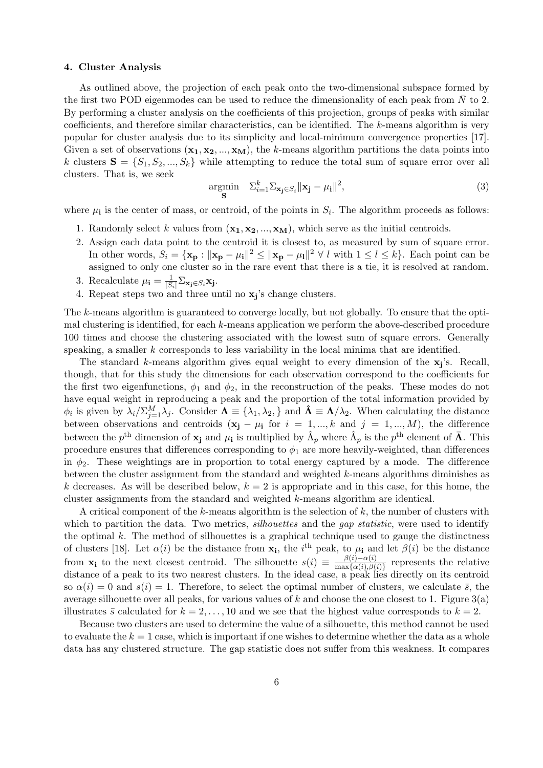## **4. Cluster Analysis**

As outlined above, the projection of each peak onto the two-dimensional subspace formed by the first two POD eigenmodes can be used to reduce the dimensionality of each peak from *N*¯ to 2. By performing a cluster analysis on the coefficients of this projection, groups of peaks with similar coefficients, and therefore similar characteristics, can be identified. The *k*-means algorithm is very popular for cluster analysis due to its simplicity and local-minimum convergence properties [17]. Given a set of observations  $(\mathbf{x}_1, \mathbf{x}_2, ..., \mathbf{x}_M)$ , the *k*-means algorithm partitions the data points into *k* clusters  $S = \{S_1, S_2, ..., S_k\}$  while attempting to reduce the total sum of square error over all clusters. That is, we seek

$$
\underset{\mathbf{S}}{\operatorname{argmin}} \quad \Sigma_{i=1}^{k} \Sigma_{\mathbf{x}_{j} \in S_{i}} \|\mathbf{x}_{j} - \mu_{i}\|^{2},\tag{3}
$$

where  $\mu_i$  is the center of mass, or centroid, of the points in  $S_i$ . The algorithm proceeds as follows:

- 1. Randomly select *k* values from  $(\mathbf{x}_1, \mathbf{x}_2, ..., \mathbf{x}_M)$ , which serve as the initial centroids.
- 2. Assign each data point to the centroid it is closest to, as measured by sum of square error. In other words,  $S_i = {\mathbf{x_p} : ||\mathbf{x_p} - \mu_i||^2 \le ||\mathbf{x_p} - \mu_i||^2 \forall l \text{ with } 1 \le l \le k}.$  Each point can be assigned to only one cluster so in the rare event that there is a tie, it is resolved at random.
- 3. Recalculate  $\mu_{\mathbf{i}} = \frac{1}{|S_i|} \sum_{\mathbf{x}_{\mathbf{j}} \in S_i} \mathbf{x}_{\mathbf{j}}.$
- 4. Repeat steps two and three until no **x<sup>j</sup>** 's change clusters.

The *k*-means algorithm is guaranteed to converge locally, but not globally. To ensure that the optimal clustering is identified, for each *k*-means application we perform the above-described procedure 100 times and choose the clustering associated with the lowest sum of square errors. Generally speaking, a smaller *k* corresponds to less variability in the local minima that are identified.

The standard *k*-means algorithm gives equal weight to every dimension of the **x<sup>j</sup>** 's. Recall, though, that for this study the dimensions for each observation correspond to the coefficients for the first two eigenfunctions,  $\phi_1$  and  $\phi_2$ , in the reconstruction of the peaks. These modes do not have equal weight in reproducing a peak and the proportion of the total information provided by  $\phi_i$  is given by  $\lambda_i/\Sigma_{j=1}^M \lambda_j$ . Consider  $\mathbf{\Lambda} \equiv {\lambda_1, \lambda_2}$ , and  $\mathbf{\hat{\Lambda}} \equiv \mathbf{\Lambda}/\lambda_2$ . When calculating the distance between observations and centroids  $(\mathbf{x}_j - \mu_i)$  for  $i = 1, ..., k$  and  $j = 1, ..., M$ , the difference between the  $p^{\text{th}}$  dimension of  $\mathbf{x}_j$  and  $\mu_i$  is multiplied by  $\hat{\Lambda}_p$  where  $\hat{\Lambda}_p$  is the  $p^{\text{th}}$  element of  $\bar{\Lambda}$ . This procedure ensures that differences corresponding to  $\phi_1$  are more heavily-weighted, than differences in  $\phi_2$ . These weightings are in proportion to total energy captured by a mode. The difference between the cluster assignment from the standard and weighted *k*-means algorithms diminishes as  $k$  decreases. As will be described below,  $k = 2$  is appropriate and in this case, for this home, the cluster assignments from the standard and weighted *k*-means algorithm are identical.

A critical component of the *k*-means algorithm is the selection of *k*, the number of clusters with which to partition the data. Two metrics, *silhouettes* and the *gap statistic*, were used to identify the optimal *k*. The method of silhouettes is a graphical technique used to gauge the distinctness of clusters [18]. Let  $\alpha(i)$  be the distance from  $\mathbf{x}_i$ , the *i*<sup>th</sup> peak, to  $\mu_i$  and let  $\beta(i)$  be the distance from **x**<sub>i</sub> to the next closest centroid. The silhouette  $s(i) \equiv \frac{\beta(i) - \alpha(i)}{\max\{\alpha(i), \beta(i)\}}$  $\frac{\beta(i) - \alpha(i)}{\max{\{\alpha(i), \beta(i)\}}}$  represents the relative distance of a peak to its two nearest clusters. In the ideal case, a peak lies directly on its centroid so  $\alpha(i) = 0$  and  $s(i) = 1$ . Therefore, to select the optimal number of clusters, we calculate  $\bar{s}$ , the average silhouette over all peaks, for various values of *k* and choose the one closest to 1. Figure 3(a) illustrates  $\bar{s}$  calculated for  $k = 2, \ldots, 10$  and we see that the highest value corresponds to  $k = 2$ .

Because two clusters are used to determine the value of a silhouette, this method cannot be used to evaluate the  $k = 1$  case, which is important if one wishes to determine whether the data as a whole data has any clustered structure. The gap statistic does not suffer from this weakness. It compares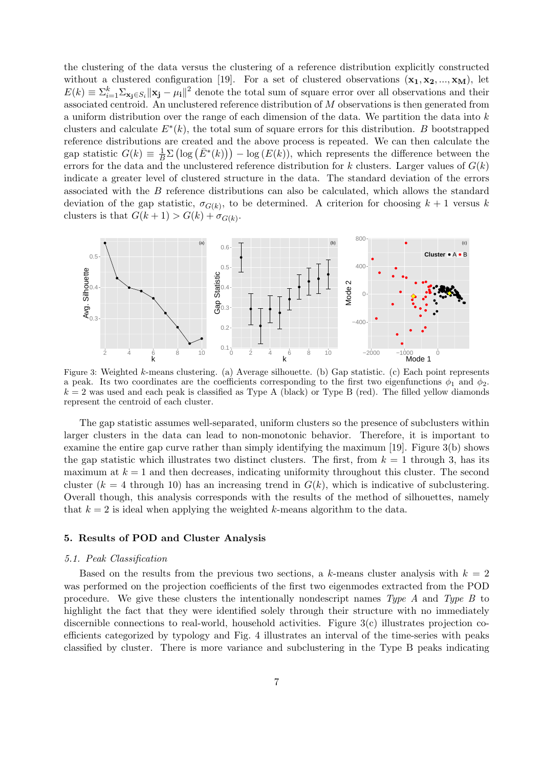the clustering of the data versus the clustering of a reference distribution explicitly constructed without a clustered configuration [19]. For a set of clustered observations  $(\mathbf{x}_1, \mathbf{x}_2, ..., \mathbf{x}_M)$ , let  $E(k) \equiv \sum_{i=1}^{k} \sum_{\mathbf{x_j} \in S_i} ||\mathbf{x_j} - \mu_i||^2$  denote the total sum of square error over all observations and their associated centroid. An unclustered reference distribution of *M* observations is then generated from a uniform distribution over the range of each dimension of the data. We partition the data into *k* clusters and calculate  $E^*(k)$ , the total sum of square errors for this distribution. *B* bootstrapped reference distributions are created and the above process is repeated. We can then calculate the gap statistic  $G(k) \equiv \frac{1}{B} \Sigma \left( \log \left( \bar{E}^*(k) \right) \right) - \log \left( E(k) \right)$ , which represents the difference between the errors for the data and the unclustered reference distribution for  $k$  clusters. Larger values of  $G(k)$ indicate a greater level of clustered structure in the data. The standard deviation of the errors associated with the *B* reference distributions can also be calculated, which allows the standard deviation of the gap statistic,  $\sigma_{G(k)}$ , to be determined. A criterion for choosing  $k+1$  versus k clusters is that  $G(k + 1) > G(k) + \sigma_{G(k)}$ .



Figure 3: Weighted *k*-means clustering. (a) Average silhouette. (b) Gap statistic. (c) Each point represents a peak. Its two coordinates are the coefficients corresponding to the first two eigenfunctions  $\phi_1$  and  $\phi_2$ .  $k = 2$  was used and each peak is classified as Type A (black) or Type B (red). The filled yellow diamonds represent the centroid of each cluster.

The gap statistic assumes well-separated, uniform clusters so the presence of subclusters within larger clusters in the data can lead to non-monotonic behavior. Therefore, it is important to examine the entire gap curve rather than simply identifying the maximum [19]. Figure 3(b) shows the gap statistic which illustrates two distinct clusters. The first, from  $k = 1$  through 3, has its maximum at  $k = 1$  and then decreases, indicating uniformity throughout this cluster. The second cluster  $(k = 4$  through 10) has an increasing trend in  $G(k)$ , which is indicative of subclustering. Overall though, this analysis corresponds with the results of the method of silhouettes, namely that *k* = 2 is ideal when applying the weighted *k*-means algorithm to the data.

## **5. Results of POD and Cluster Analysis**

#### *5.1. Peak Classification*

Based on the results from the previous two sections, a  $k$ -means cluster analysis with  $k = 2$ was performed on the projection coefficients of the first two eigenmodes extracted from the POD procedure. We give these clusters the intentionally nondescript names *Type A* and *Type B* to highlight the fact that they were identified solely through their structure with no immediately discernible connections to real-world, household activities. Figure 3(c) illustrates projection coefficients categorized by typology and Fig. 4 illustrates an interval of the time-series with peaks classified by cluster. There is more variance and subclustering in the Type B peaks indicating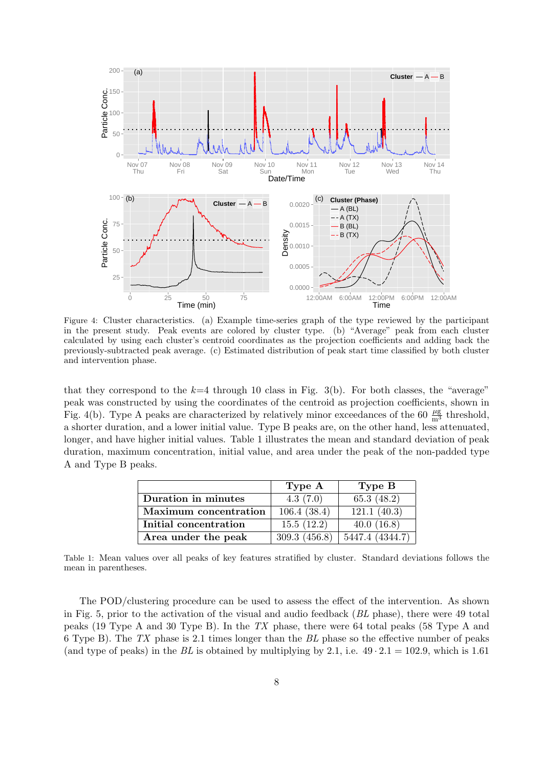

Figure 4: Cluster characteristics. (a) Example time-series graph of the type reviewed by the participant in the present study. Peak events are colored by cluster type. (b) "Average" peak from each cluster calculated by using each cluster's centroid coordinates as the projection coefficients and adding back the previously-subtracted peak average. (c) Estimated distribution of peak start time classified by both cluster and intervention phase.

that they correspond to the  $k=4$  through 10 class in Fig. 3(b). For both classes, the "average" peak was constructed by using the coordinates of the centroid as projection coefficients, shown in Fig. 4(b). Type A peaks are characterized by relatively minor exceedances of the 60  $\frac{\mu g}{m^3}$  threshold, a shorter duration, and a lower initial value. Type B peaks are, on the other hand, less attenuated, longer, and have higher initial values. Table 1 illustrates the mean and standard deviation of peak duration, maximum concentration, initial value, and area under the peak of the non-padded type A and Type B peaks.

|                       | Type A       | Type B          |
|-----------------------|--------------|-----------------|
| Duration in minutes   | 4.3(7.0)     | 65.3 $(48.2)$   |
| Maximum concentration | 106.4(38.4)  | 121.1(40.3)     |
| Initial concentration | 15.5(12.2)   | 40.0(16.8)      |
| Area under the peak   | 309.3(456.8) | 5447.4 (4344.7) |

Table 1: Mean values over all peaks of key features stratified by cluster. Standard deviations follows the mean in parentheses.

The POD/clustering procedure can be used to assess the effect of the intervention. As shown in Fig. 5, prior to the activation of the visual and audio feedback (*BL* phase), there were 49 total peaks (19 Type A and 30 Type B). In the *TX* phase, there were 64 total peaks (58 Type A and 6 Type B). The *TX* phase is 2.1 times longer than the *BL* phase so the effective number of peaks (and type of peaks) in the *BL* is obtained by multiplying by 2.1, i.e.  $49 \cdot 2.1 = 102.9$ , which is 1.61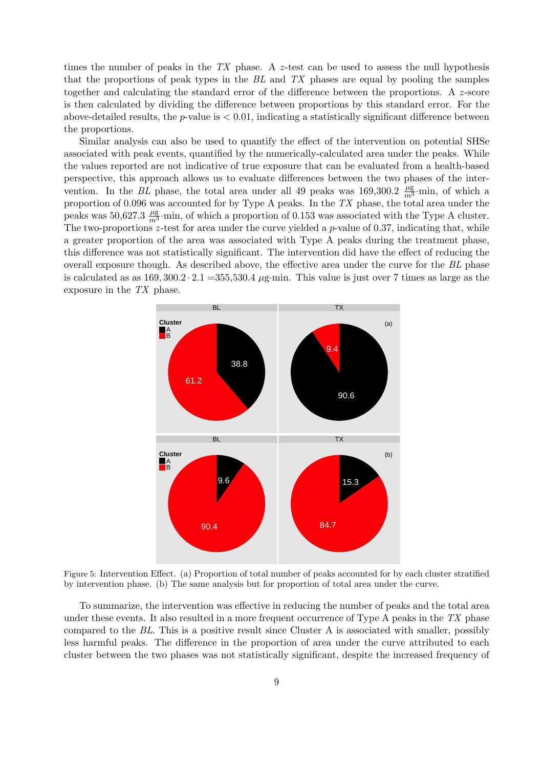times the number of peaks in the *TX* phase. A *z*-test can be used to assess the null hypothesis that the proportions of peak types in the *BL* and *TX* phases are equal by pooling the samples together and calculating the standard error of the difference between the proportions. A *z*-score is then calculated by dividing the difference between proportions by this standard error. For the above-detailed results, the *p*-value is *<* 0*.*01, indicating a statistically significant difference between the proportions.

Similar analysis can also be used to quantify the effect of the intervention on potential SHSe associated with peak events, quantified by the numerically-calculated area under the peaks. While the values reported are not indicative of true exposure that can be evaluated from a health-based perspective, this approach allows us to evaluate differences between the two phases of the intervention. In the *BL* phase, the total area under all 49 peaks was 169,300.2  $\frac{\mu\text{g}}{m^3}$  min, of which a proportion of 0.096 was accounted for by Type A peaks. In the *TX* phase, the total area under the peaks was 50,627.3  $\frac{\mu\text{g}}{m^3}$  *·*min, of which a proportion of 0.153 was associated with the Type A cluster. The two-proportions *z*-test for area under the curve yielded a *p*-value of 0.37, indicating that, while a greater proportion of the area was associated with Type A peaks during the treatment phase, this difference was not statistically significant. The intervention did have the effect of reducing the overall exposure though. As described above, the effective area under the curve for the *BL* phase is calculated as as  $169,300.2 \cdot 2.1 = 355,530.4 \mu$ g·min. This value is just over 7 times as large as the exposure in the *TX* phase.



Figure 5: Intervention Effect. (a) Proportion of total number of peaks accounted for by each cluster stratified by intervention phase. (b) The same analysis but for proportion of total area under the curve.

To summarize, the intervention was effective in reducing the number of peaks and the total area under these events. It also resulted in a more frequent occurrence of Type A peaks in the *TX* phase compared to the *BL*. This is a positive result since Cluster A is associated with smaller, possibly less harmful peaks. The difference in the proportion of area under the curve attributed to each cluster between the two phases was not statistically significant, despite the increased frequency of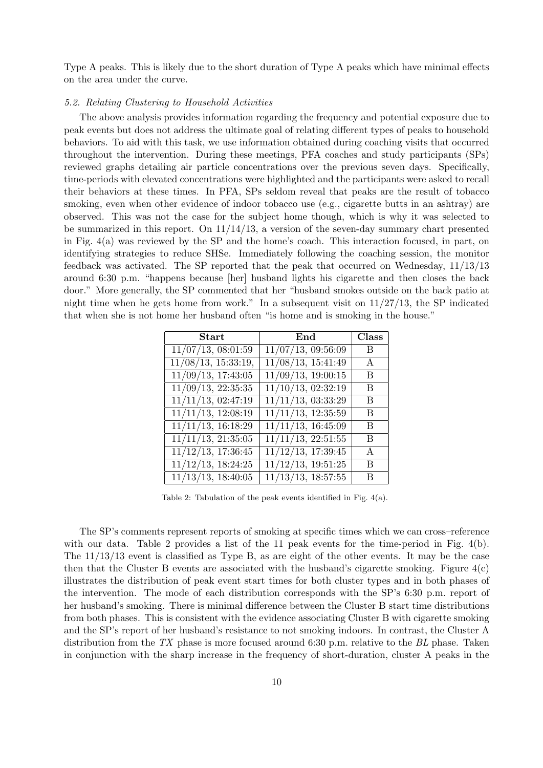Type A peaks. This is likely due to the short duration of Type A peaks which have minimal effects on the area under the curve.

#### *5.2. Relating Clustering to Household Activities*

The above analysis provides information regarding the frequency and potential exposure due to peak events but does not address the ultimate goal of relating different types of peaks to household behaviors. To aid with this task, we use information obtained during coaching visits that occurred throughout the intervention. During these meetings, PFA coaches and study participants (SPs) reviewed graphs detailing air particle concentrations over the previous seven days. Specifically, time-periods with elevated concentrations were highlighted and the participants were asked to recall their behaviors at these times. In PFA, SPs seldom reveal that peaks are the result of tobacco smoking, even when other evidence of indoor tobacco use (e.g., cigarette butts in an ashtray) are observed. This was not the case for the subject home though, which is why it was selected to be summarized in this report. On  $11/14/13$ , a version of the seven-day summary chart presented in Fig. 4(a) was reviewed by the SP and the home's coach. This interaction focused, in part, on identifying strategies to reduce SHSe. Immediately following the coaching session, the monitor feedback was activated. The SP reported that the peak that occurred on Wednesday, 11/13/13 around 6:30 p.m. "happens because [her] husband lights his cigarette and then closes the back door." More generally, the SP commented that her "husband smokes outside on the back patio at night time when he gets home from work." In a subsequent visit on  $11/27/13$ , the SP indicated that when she is not home her husband often "is home and is smoking in the house."

| <b>Start</b>            | End                                | Class |
|-------------------------|------------------------------------|-------|
| $11/07/13$ , 08:01:59   | $11/07/13$ , 09:56:09              | B     |
| $11/08/13$ , 15:33:19,  | $11/08/13$ , $15:41:49$            | A     |
| $11/09/13$ , 17:43:05   | $11/09/13$ , $19:00:15$            | B     |
| $11/09/13$ , $22:35:35$ | $11/10/13$ , 02:32:19              | B     |
| $11/11/13$ , 02:47:19   | $11/11/13$ , 03:33:29              | B     |
| $11/11/13$ , $12:08:19$ | $11/1\overline{1/13}$ , $12:35:59$ | B     |
| $11/11/13$ , 16:18:29   | $11/11/13$ , 16:45:09              | B     |
| $11/11/13$ , $21:35:05$ | $11/11/13$ , $22:51:55$            | B     |
| $11/12/13$ , 17:36:45   | $11/12/13$ , 17:39:45              | A     |
| $11/12/13$ , $18:24:25$ | $11/12/13$ , $19:51:25$            | B     |
| $11/13/13$ , 18:40:05   | $11/13/13$ , 18:57:55              | B     |

Table 2: Tabulation of the peak events identified in Fig. 4(a).

The SP's comments represent reports of smoking at specific times which we can cross–reference with our data. Table 2 provides a list of the 11 peak events for the time-period in Fig. 4(b). The 11/13/13 event is classified as Type B, as are eight of the other events. It may be the case then that the Cluster B events are associated with the husband's cigarette smoking. Figure 4(c) illustrates the distribution of peak event start times for both cluster types and in both phases of the intervention. The mode of each distribution corresponds with the SP's 6:30 p.m. report of her husband's smoking. There is minimal difference between the Cluster B start time distributions from both phases. This is consistent with the evidence associating Cluster B with cigarette smoking and the SP's report of her husband's resistance to not smoking indoors. In contrast, the Cluster A distribution from the *TX* phase is more focused around 6:30 p.m. relative to the *BL* phase. Taken in conjunction with the sharp increase in the frequency of short-duration, cluster A peaks in the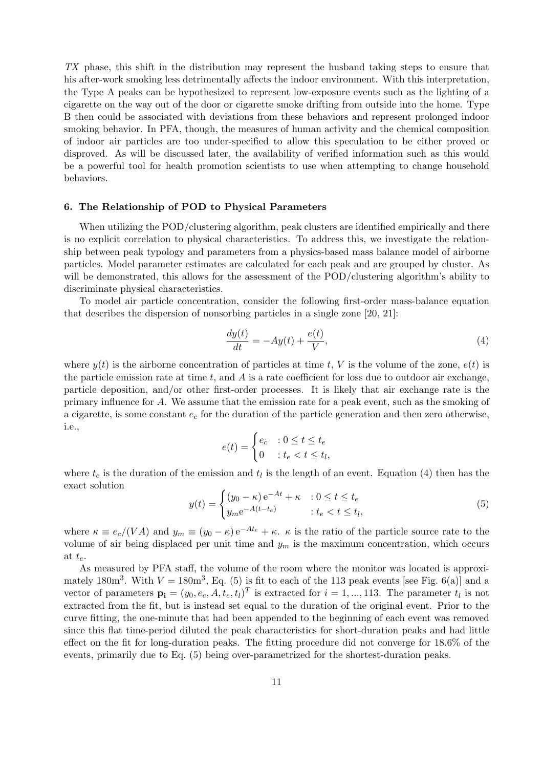*TX* phase, this shift in the distribution may represent the husband taking steps to ensure that his after-work smoking less detrimentally affects the indoor environment. With this interpretation, the Type A peaks can be hypothesized to represent low-exposure events such as the lighting of a cigarette on the way out of the door or cigarette smoke drifting from outside into the home. Type B then could be associated with deviations from these behaviors and represent prolonged indoor smoking behavior. In PFA, though, the measures of human activity and the chemical composition of indoor air particles are too under-specified to allow this speculation to be either proved or disproved. As will be discussed later, the availability of verified information such as this would be a powerful tool for health promotion scientists to use when attempting to change household behaviors.

#### **6. The Relationship of POD to Physical Parameters**

When utilizing the POD/clustering algorithm, peak clusters are identified empirically and there is no explicit correlation to physical characteristics. To address this, we investigate the relationship between peak typology and parameters from a physics-based mass balance model of airborne particles. Model parameter estimates are calculated for each peak and are grouped by cluster. As will be demonstrated, this allows for the assessment of the POD/clustering algorithm's ability to discriminate physical characteristics.

To model air particle concentration, consider the following first-order mass-balance equation that describes the dispersion of nonsorbing particles in a single zone [20, 21]:

$$
\frac{dy(t)}{dt} = -Ay(t) + \frac{e(t)}{V},\tag{4}
$$

where  $y(t)$  is the airborne concentration of particles at time *t*, *V* is the volume of the zone,  $e(t)$  is the particle emission rate at time *t*, and *A* is a rate coefficient for loss due to outdoor air exchange, particle deposition, and/or other first-order processes. It is likely that air exchange rate is the primary influence for *A*. We assume that the emission rate for a peak event, such as the smoking of a cigarette, is some constant *e<sup>c</sup>* for the duration of the particle generation and then zero otherwise, i.e.,

$$
e(t) = \begin{cases} e_c & : 0 \le t \le t_e \\ 0 & : t_e < t \le t_l, \end{cases}
$$

where  $t_e$  is the duration of the emission and  $t_l$  is the length of an event. Equation (4) then has the exact solution

$$
y(t) = \begin{cases} (y_0 - \kappa) e^{-At} + \kappa & : 0 \le t \le t_e \\ y_m e^{-A(t - t_e)} & : t_e < t \le t_l, \end{cases} \tag{5}
$$

where  $\kappa \equiv e_c/(VA)$  and  $y_m \equiv (y_0 - \kappa) e^{-At_e} + \kappa$ .  $\kappa$  is the ratio of the particle source rate to the volume of air being displaced per unit time and  $y_m$  is the maximum concentration, which occurs at *te*.

As measured by PFA staff, the volume of the room where the monitor was located is approximately 180 $m<sup>3</sup>$ . With  $V = 180m<sup>3</sup>$ , Eq. (5) is fit to each of the 113 peak events [see Fig. 6(a)] and a vector of parameters  $\mathbf{p_i} = (y_0, e_c, A, t_e, t_l)^T$  is extracted for  $i = 1, ..., 113$ . The parameter  $t_l$  is not extracted from the fit, but is instead set equal to the duration of the original event. Prior to the curve fitting, the one-minute that had been appended to the beginning of each event was removed since this flat time-period diluted the peak characteristics for short-duration peaks and had little effect on the fit for long-duration peaks. The fitting procedure did not converge for 18.6% of the events, primarily due to Eq. (5) being over-parametrized for the shortest-duration peaks.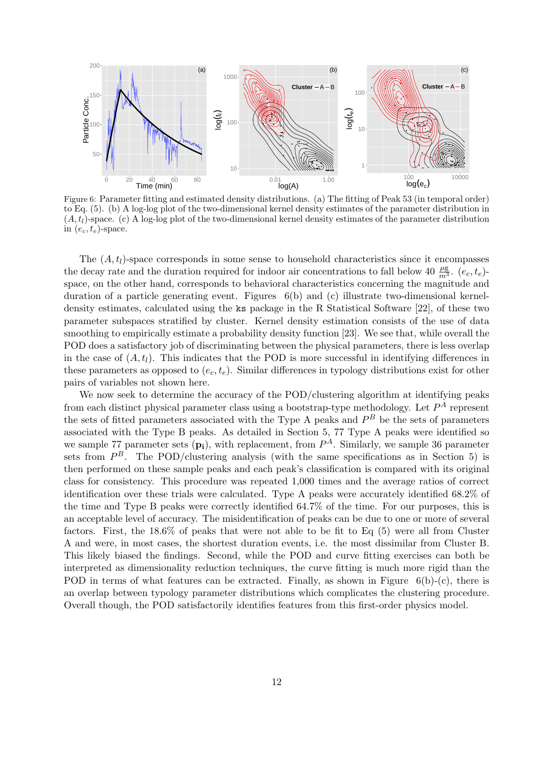

Figure 6: Parameter fitting and estimated density distributions. (a) The fitting of Peak 53 (in temporal order) to Eq. (5). (b) A log-log plot of the two-dimensional kernel density estimates of the parameter distribution in  $(A, t<sub>l</sub>)$ -space. (c) A log-log plot of the two-dimensional kernel density estimates of the parameter distribution in  $(e_c, t_e)$ -space.

The  $(A, t)$ -space corresponds in some sense to household characteristics since it encompasses the decay rate and the duration required for indoor air concentrations to fall below 40  $\frac{\mu g}{m^3}$ .  $(e_c, t_e)$ space, on the other hand, corresponds to behavioral characteristics concerning the magnitude and duration of a particle generating event. Figures 6(b) and (c) illustrate two-dimensional kerneldensity estimates, calculated using the ks package in the R Statistical Software [22], of these two parameter subspaces stratified by cluster. Kernel density estimation consists of the use of data smoothing to empirically estimate a probability density function [23]. We see that, while overall the POD does a satisfactory job of discriminating between the physical parameters, there is less overlap in the case of  $(A, t<sub>l</sub>)$ . This indicates that the POD is more successful in identifying differences in these parameters as opposed to (*ec, te*). Similar differences in typology distributions exist for other pairs of variables not shown here.

We now seek to determine the accuracy of the POD/clustering algorithm at identifying peaks from each distinct physical parameter class using a bootstrap-type methodology. Let  $P^A$  represent the sets of fitted parameters associated with the Type A peaks and  $P^B$  be the sets of parameters associated with the Type B peaks. As detailed in Section 5, 77 Type A peaks were identified so we sample 77 parameter sets  $(\mathbf{p_i})$ , with replacement, from  $P^A$ . Similarly, we sample 36 parameter sets from  $P^B$ . The POD/clustering analysis (with the same specifications as in Section 5) is then performed on these sample peaks and each peak's classification is compared with its original class for consistency. This procedure was repeated 1,000 times and the average ratios of correct identification over these trials were calculated. Type A peaks were accurately identified 68.2% of the time and Type B peaks were correctly identified 64.7% of the time. For our purposes, this is an acceptable level of accuracy. The misidentification of peaks can be due to one or more of several factors. First, the 18.6% of peaks that were not able to be fit to Eq (5) were all from Cluster A and were, in most cases, the shortest duration events, i.e. the most dissimilar from Cluster B. This likely biased the findings. Second, while the POD and curve fitting exercises can both be interpreted as dimensionality reduction techniques, the curve fitting is much more rigid than the POD in terms of what features can be extracted. Finally, as shown in Figure  $6(b)-(c)$ , there is an overlap between typology parameter distributions which complicates the clustering procedure. Overall though, the POD satisfactorily identifies features from this first-order physics model.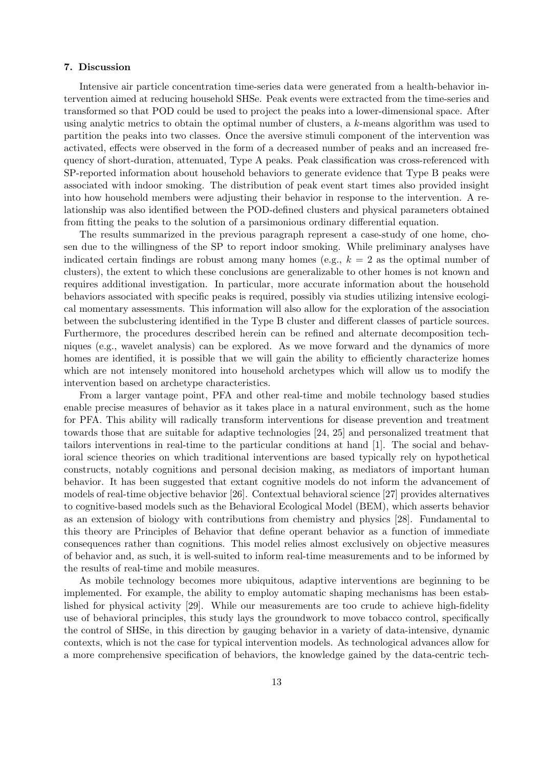## **7. Discussion**

Intensive air particle concentration time-series data were generated from a health-behavior intervention aimed at reducing household SHSe. Peak events were extracted from the time-series and transformed so that POD could be used to project the peaks into a lower-dimensional space. After using analytic metrics to obtain the optimal number of clusters, a *k*-means algorithm was used to partition the peaks into two classes. Once the aversive stimuli component of the intervention was activated, effects were observed in the form of a decreased number of peaks and an increased frequency of short-duration, attenuated, Type A peaks. Peak classification was cross-referenced with SP-reported information about household behaviors to generate evidence that Type B peaks were associated with indoor smoking. The distribution of peak event start times also provided insight into how household members were adjusting their behavior in response to the intervention. A relationship was also identified between the POD-defined clusters and physical parameters obtained from fitting the peaks to the solution of a parsimonious ordinary differential equation.

The results summarized in the previous paragraph represent a case-study of one home, chosen due to the willingness of the SP to report indoor smoking. While preliminary analyses have indicated certain findings are robust among many homes (e.g., *k* = 2 as the optimal number of clusters), the extent to which these conclusions are generalizable to other homes is not known and requires additional investigation. In particular, more accurate information about the household behaviors associated with specific peaks is required, possibly via studies utilizing intensive ecological momentary assessments. This information will also allow for the exploration of the association between the subclustering identified in the Type B cluster and different classes of particle sources. Furthermore, the procedures described herein can be refined and alternate decomposition techniques (e.g., wavelet analysis) can be explored. As we move forward and the dynamics of more homes are identified, it is possible that we will gain the ability to efficiently characterize homes which are not intensely monitored into household archetypes which will allow us to modify the intervention based on archetype characteristics.

From a larger vantage point, PFA and other real-time and mobile technology based studies enable precise measures of behavior as it takes place in a natural environment, such as the home for PFA. This ability will radically transform interventions for disease prevention and treatment towards those that are suitable for adaptive technologies [24, 25] and personalized treatment that tailors interventions in real-time to the particular conditions at hand [1]. The social and behavioral science theories on which traditional interventions are based typically rely on hypothetical constructs, notably cognitions and personal decision making, as mediators of important human behavior. It has been suggested that extant cognitive models do not inform the advancement of models of real-time objective behavior [26]. Contextual behavioral science [27] provides alternatives to cognitive-based models such as the Behavioral Ecological Model (BEM), which asserts behavior as an extension of biology with contributions from chemistry and physics [28]. Fundamental to this theory are Principles of Behavior that define operant behavior as a function of immediate consequences rather than cognitions. This model relies almost exclusively on objective measures of behavior and, as such, it is well-suited to inform real-time measurements and to be informed by the results of real-time and mobile measures.

As mobile technology becomes more ubiquitous, adaptive interventions are beginning to be implemented. For example, the ability to employ automatic shaping mechanisms has been established for physical activity [29]. While our measurements are too crude to achieve high-fidelity use of behavioral principles, this study lays the groundwork to move tobacco control, specifically the control of SHSe, in this direction by gauging behavior in a variety of data-intensive, dynamic contexts, which is not the case for typical intervention models. As technological advances allow for a more comprehensive specification of behaviors, the knowledge gained by the data-centric tech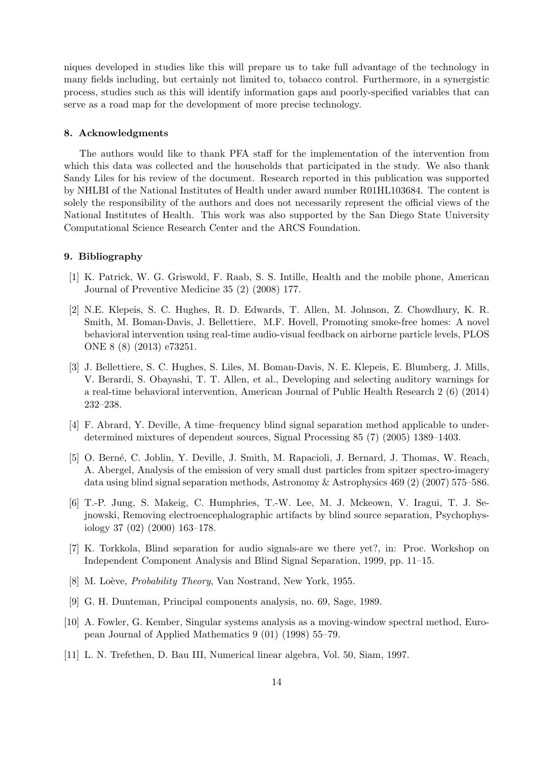niques developed in studies like this will prepare us to take full advantage of the technology in many fields including, but certainly not limited to, tobacco control. Furthermore, in a synergistic process, studies such as this will identify information gaps and poorly-specified variables that can serve as a road map for the development of more precise technology.

#### **8. Acknowledgments**

The authors would like to thank PFA staff for the implementation of the intervention from which this data was collected and the households that participated in the study. We also thank Sandy Liles for his review of the document. Research reported in this publication was supported by NHLBI of the National Institutes of Health under award number R01HL103684. The content is solely the responsibility of the authors and does not necessarily represent the official views of the National Institutes of Health. This work was also supported by the San Diego State University Computational Science Research Center and the ARCS Foundation.

# **9. Bibliography**

- [1] K. Patrick, W. G. Griswold, F. Raab, S. S. Intille, Health and the mobile phone, American Journal of Preventive Medicine 35 (2) (2008) 177.
- [2] N.E. Klepeis, S. C. Hughes, R. D. Edwards, T. Allen, M. Johnson, Z. Chowdhury, K. R. Smith, M. Boman-Davis, J. Bellettiere, M.F. Hovell, Promoting smoke-free homes: A novel behavioral intervention using real-time audio-visual feedback on airborne particle levels, PLOS ONE 8 (8) (2013) e73251.
- [3] J. Bellettiere, S. C. Hughes, S. Liles, M. Boman-Davis, N. E. Klepeis, E. Blumberg, J. Mills, V. Berardi, S. Obayashi, T. T. Allen, et al., Developing and selecting auditory warnings for a real-time behavioral intervention, American Journal of Public Health Research 2 (6) (2014) 232–238.
- [4] F. Abrard, Y. Deville, A time–frequency blind signal separation method applicable to underdetermined mixtures of dependent sources, Signal Processing 85 (7) (2005) 1389–1403.
- [5] O. Bern´e, C. Joblin, Y. Deville, J. Smith, M. Rapacioli, J. Bernard, J. Thomas, W. Reach, A. Abergel, Analysis of the emission of very small dust particles from spitzer spectro-imagery data using blind signal separation methods, Astronomy & Astrophysics 469 (2) (2007) 575–586.
- [6] T.-P. Jung, S. Makeig, C. Humphries, T.-W. Lee, M. J. Mckeown, V. Iragui, T. J. Sejnowski, Removing electroencephalographic artifacts by blind source separation, Psychophysiology 37 (02) (2000) 163–178.
- [7] K. Torkkola, Blind separation for audio signals-are we there yet?, in: Proc. Workshop on Independent Component Analysis and Blind Signal Separation, 1999, pp. 11–15.
- [8] M. Loève, *Probability Theory*, Van Nostrand, New York, 1955.
- [9] G. H. Dunteman, Principal components analysis, no. 69, Sage, 1989.
- [10] A. Fowler, G. Kember, Singular systems analysis as a moving-window spectral method, European Journal of Applied Mathematics 9 (01) (1998) 55–79.
- [11] L. N. Trefethen, D. Bau III, Numerical linear algebra, Vol. 50, Siam, 1997.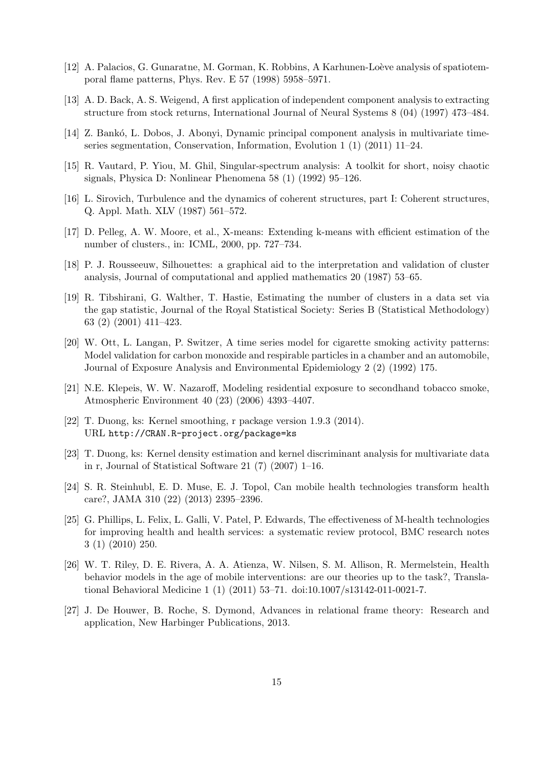- [12] A. Palacios, G. Gunaratne, M. Gorman, K. Robbins, A Karhunen-Loève analysis of spatiotemporal flame patterns, Phys. Rev. E 57 (1998) 5958–5971.
- [13] A. D. Back, A. S. Weigend, A first application of independent component analysis to extracting structure from stock returns, International Journal of Neural Systems 8 (04) (1997) 473–484.
- [14] Z. Bank´o, L. Dobos, J. Abonyi, Dynamic principal component analysis in multivariate timeseries segmentation, Conservation, Information, Evolution 1 (1) (2011) 11–24.
- [15] R. Vautard, P. Yiou, M. Ghil, Singular-spectrum analysis: A toolkit for short, noisy chaotic signals, Physica D: Nonlinear Phenomena 58 (1) (1992) 95–126.
- [16] L. Sirovich, Turbulence and the dynamics of coherent structures, part I: Coherent structures, Q. Appl. Math. XLV (1987) 561–572.
- [17] D. Pelleg, A. W. Moore, et al., X-means: Extending k-means with efficient estimation of the number of clusters., in: ICML, 2000, pp. 727–734.
- [18] P. J. Rousseeuw, Silhouettes: a graphical aid to the interpretation and validation of cluster analysis, Journal of computational and applied mathematics 20 (1987) 53–65.
- [19] R. Tibshirani, G. Walther, T. Hastie, Estimating the number of clusters in a data set via the gap statistic, Journal of the Royal Statistical Society: Series B (Statistical Methodology) 63 (2) (2001) 411–423.
- [20] W. Ott, L. Langan, P. Switzer, A time series model for cigarette smoking activity patterns: Model validation for carbon monoxide and respirable particles in a chamber and an automobile, Journal of Exposure Analysis and Environmental Epidemiology 2 (2) (1992) 175.
- [21] N.E. Klepeis, W. W. Nazaroff, Modeling residential exposure to secondhand tobacco smoke, Atmospheric Environment 40 (23) (2006) 4393–4407.
- [22] T. Duong, ks: Kernel smoothing, r package version 1.9.3 (2014). URL http://CRAN.R-project.org/package=ks
- [23] T. Duong, ks: Kernel density estimation and kernel discriminant analysis for multivariate data in r, Journal of Statistical Software 21 (7) (2007) 1–16.
- [24] S. R. Steinhubl, E. D. Muse, E. J. Topol, Can mobile health technologies transform health care?, JAMA 310 (22) (2013) 2395–2396.
- [25] G. Phillips, L. Felix, L. Galli, V. Patel, P. Edwards, The effectiveness of M-health technologies for improving health and health services: a systematic review protocol, BMC research notes 3 (1) (2010) 250.
- [26] W. T. Riley, D. E. Rivera, A. A. Atienza, W. Nilsen, S. M. Allison, R. Mermelstein, Health behavior models in the age of mobile interventions: are our theories up to the task?, Translational Behavioral Medicine 1 (1) (2011) 53–71. doi:10.1007/s13142-011-0021-7.
- [27] J. De Houwer, B. Roche, S. Dymond, Advances in relational frame theory: Research and application, New Harbinger Publications, 2013.